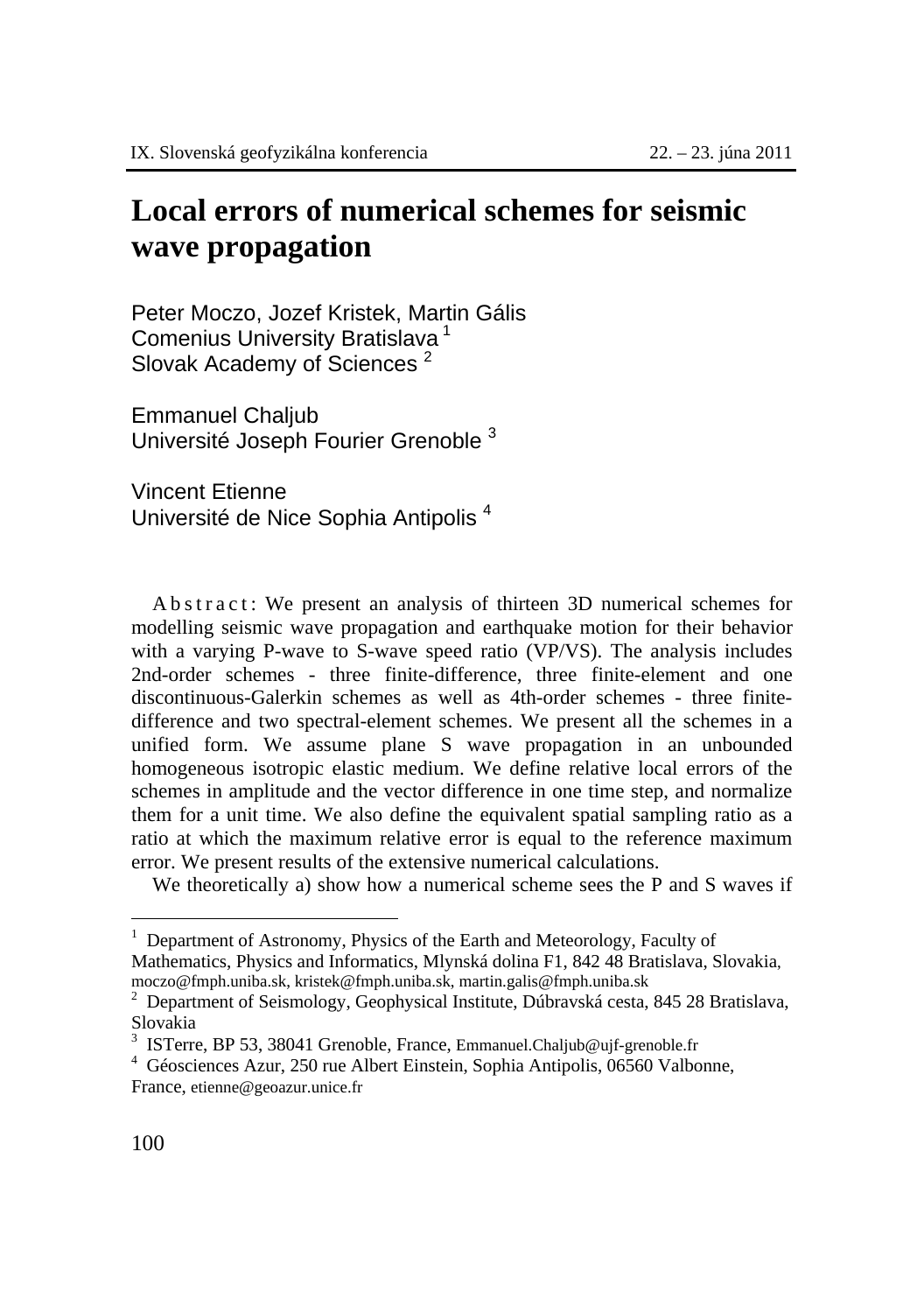## **Local errors of numerical schemes for seismic wave propagation**

Peter Moczo, Jozef Kristek, Martin Gális Comenius University Bratislava 1 Slovak Academy of Sciences<sup>2</sup>

Emmanuel Chaljub Université Joseph Fourier Grenoble <sup>3</sup>

Vincent Etienne Université de Nice Sophia Antipolis <sup>4</sup>

A b s t r a c t : We present an analysis of thirteen 3D numerical schemes for modelling seismic wave propagation and earthquake motion for their behavior with a varying P-wave to S-wave speed ratio (VP/VS). The analysis includes 2nd-order schemes - three finite-difference, three finite-element and one discontinuous-Galerkin schemes as well as 4th-order schemes - three finitedifference and two spectral-element schemes. We present all the schemes in a unified form. We assume plane S wave propagation in an unbounded homogeneous isotropic elastic medium. We define relative local errors of the schemes in amplitude and the vector difference in one time step, and normalize them for a unit time. We also define the equivalent spatial sampling ratio as a ratio at which the maximum relative error is equal to the reference maximum error. We present results of the extensive numerical calculations.

We theoretically a) show how a numerical scheme sees the P and S waves if

 $\overline{a}$ 

<sup>1</sup> Department of Astronomy, Physics of the Earth and Meteorology, Faculty of Mathematics, Physics and Informatics, Mlynská dolina F1, 842 48 Bratislava, Slovakia, moczo@fmph.uniba.sk, kristek@fmph.uniba.sk, martin.galis@fmph.uniba.sk <sup>2</sup>

<sup>&</sup>lt;sup>2</sup> Department of Seismology, Geophysical Institute, Dúbravská cesta, 845 28 Bratislava, Slovakia

<sup>&</sup>lt;sup>3</sup> ISTerre, BP 53, 38041 Grenoble, France, Emmanuel.Chaljub@ujf-grenoble.fr  $\frac{4}{1}$  Gássaigness Azur, 250 rue Albert Einstein, Sophie Antipelis, 06560 Velbe

Géosciences Azur, 250 rue Albert Einstein, Sophia Antipolis, 06560 Valbonne, France, etienne@geoazur.unice.fr